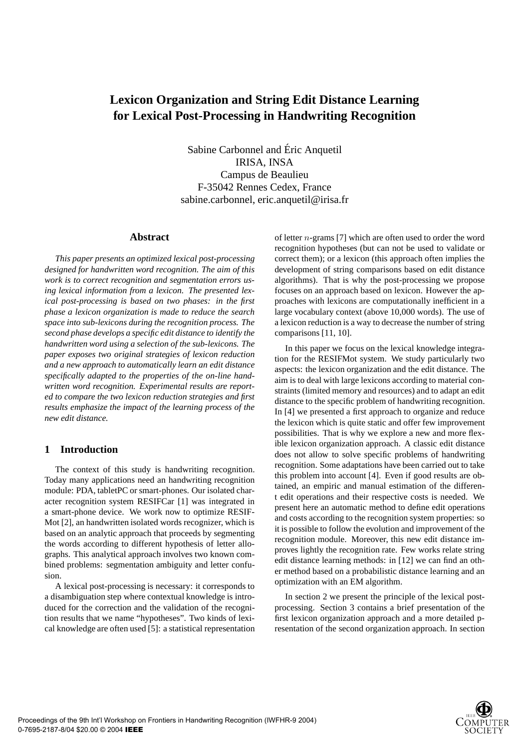# **Lexicon Organization and String Edit Distance Learning for Lexical Post-Processing in Handwriting Recognition**

Sabine Carbonnel and Eric Anquetil ´ IRISA, INSA Campus de Beaulieu F-35042 Rennes Cedex, France sabine.carbonnel, eric.anquetil@irisa.fr

#### **Abstract**

*This paper presents an optimized lexical post-processing designed for handwritten word recognition. The aim of this work is to correct recognition and segmentation errors using lexical information from a lexicon. The presented lexical post-processing is based on two phases: in the first phase a lexicon organization is made to reduce the search space into sub-lexicons during the recognition process. The second phase develops a specific edit distance to identify the handwritten word using a selection of the sub-lexicons. The paper exposes two original strategies of lexicon reduction and a new approach to automatically learn an edit distance specifically adapted to the properties of the on-line handwritten word recognition. Experimental results are reported to compare the two lexicon reduction strategies and first results emphasize the impact of the learning process of the new edit distance.*

### **1 Introduction**

The context of this study is handwriting recognition. Today many applications need an handwriting recognition module: PDA, tabletPC or smart-phones. Our isolated character recognition system RESIFCar [1] was integrated in a smart-phone device. We work now to optimize RESIF-Mot [2], an handwritten isolated words recognizer, which is based on an analytic approach that proceeds by segmenting the words according to different hypothesis of letter allographs. This analytical approach involves two known combined problems: segmentation ambiguity and letter confusion.

A lexical post-processing is necessary: it corresponds to a disambiguation step where contextual knowledge is introduced for the correction and the validation of the recognition results that we name "hypotheses". Two kinds of lexical knowledge are often used [5]: a statistical representation of letter n-grams [7] which are often used to order the word recognition hypotheses (but can not be used to validate or correct them); or a lexicon (this approach often implies the development of string comparisons based on edit distance algorithms). That is why the post-processing we propose focuses on an approach based on lexicon. However the approaches with lexicons are computationally inefficient in a large vocabulary context (above 10,000 words). The use of a lexicon reduction is a way to decrease the number of string comparisons [11, 10].

In this paper we focus on the lexical knowledge integration for the RESIFMot system. We study particularly two aspects: the lexicon organization and the edit distance. The aim is to deal with large lexicons according to material constraints (limited memory and resources) and to adapt an edit distance to the specific problem of handwriting recognition. In [4] we presented a first approach to organize and reduce the lexicon which is quite static and offer few improvement possibilities. That is why we explore a new and more flexible lexicon organization approach. A classic edit distance does not allow to solve specific problems of handwriting recognition. Some adaptations have been carried out to take this problem into account [4]. Even if good results are obtained, an empiric and manual estimation of the different edit operations and their respective costs is needed. We present here an automatic method to define edit operations and costs according to the recognition system properties: so it is possible to follow the evolution and improvement of the recognition module. Moreover, this new edit distance improves lightly the recognition rate. Few works relate string edit distance learning methods: in [12] we can find an other method based on a probabilistic distance learning and an optimization with an EM algorithm.

In section 2 we present the principle of the lexical postprocessing. Section 3 contains a brief presentation of the first lexicon organization approach and a more detailed presentation of the second organization approach. In section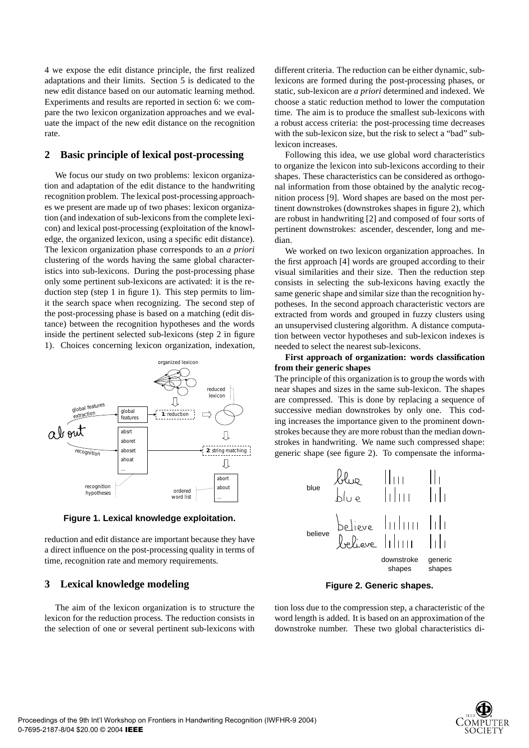4 we expose the edit distance principle, the first realized adaptations and their limits. Section 5 is dedicated to the new edit distance based on our automatic learning method. Experiments and results are reported in section 6: we compare the two lexicon organization approaches and we evaluate the impact of the new edit distance on the recognition rate.

## **2 Basic principle of lexical post-processing**

We focus our study on two problems: lexicon organization and adaptation of the edit distance to the handwriting recognition problem. The lexical post-processing approaches we present are made up of two phases: lexicon organization (and indexation of sub-lexicons from the complete lexicon) and lexical post-processing (exploitation of the knowledge, the organized lexicon, using a specific edit distance). The lexicon organization phase corresponds to an *a priori* clustering of the words having the same global characteristics into sub-lexicons. During the post-processing phase only some pertinent sub-lexicons are activated: it is the reduction step (step 1 in figure 1). This step permits to limit the search space when recognizing. The second step of the post-processing phase is based on a matching (edit distance) between the recognition hypotheses and the words inside the pertinent selected sub-lexicons (step 2 in figure 1). Choices concerning lexicon organization, indexation,



**Figure 1. Lexical knowledge exploitation.**

reduction and edit distance are important because they have a direct influence on the post-processing quality in terms of time, recognition rate and memory requirements.

## **3 Lexical knowledge modeling**

The aim of the lexicon organization is to structure the lexicon for the reduction process. The reduction consists in the selection of one or several pertinent sub-lexicons with different criteria. The reduction can be either dynamic, sublexicons are formed during the post-processing phases, or static, sub-lexicon are *a priori* determined and indexed. We choose a static reduction method to lower the computation time. The aim is to produce the smallest sub-lexicons with a robust access criteria: the post-processing time decreases with the sub-lexicon size, but the risk to select a "bad" sublexicon increases.

Following this idea, we use global word characteristics to organize the lexicon into sub-lexicons according to their shapes. These characteristics can be considered as orthogonal information from those obtained by the analytic recognition process [9]. Word shapes are based on the most pertinent downstrokes (downstrokes shapes in figure 2), which are robust in handwriting [2] and composed of four sorts of pertinent downstrokes: ascender, descender, long and median.

We worked on two lexicon organization approaches. In the first approach [4] words are grouped according to their visual similarities and their size. Then the reduction step consists in selecting the sub-lexicons having exactly the same generic shape and similar size than the recognition hypotheses. In the second approach characteristic vectors are extracted from words and grouped in fuzzy clusters using an unsupervised clustering algorithm. A distance computation between vector hypotheses and sub-lexicon indexes is needed to select the nearest sub-lexicons.

## **First approach of organization: words classification from their generic shapes**

The principle of this organization is to group the words with near shapes and sizes in the same sub-lexicon. The shapes are compressed. This is done by replacing a sequence of successive median downstrokes by only one. This coding increases the importance given to the prominent downstrokes because they are more robust than the median downstrokes in handwriting. We name such compressed shape: generic shape (see figure 2). To compensate the informa-

| blue | blue | $  $ $  $ $  $<br>blue | $  $ $  $ $  $<br>blue | $  $ $  $ $  $<br>blue | $  $ $  $ $  $<br>blue | $  $ $  $ $  $<br>blue | $  $ $  $ $  $<br>blue | $  $ $  $ $  $<br>blue | $  $ $  $ $  $<br>blue | $  $ $  $<br>blue | $  $ $  $<br>blue | $  $ $  $<br>blue | $  $ $  $<br>blue | $  $ $  $<br>blue | $  $ $  $<br>blue | $  $ $  $<br>blue | $  $ $  $<br>blue | $  $ $  $<br>blue | $  $ $  $<br>blue | $  $ $  $<br>blue | $  $ $  $<br>blue | $  $ $  $<br>blue | $  $ $  $<br>blue | $  $ $  $<br>blue | $  $ $  $<br>blue | $  $ $  $<br>blue | $  $ $  $<br>blue | $  $ $  $<br>blue | $  $ $  $<br>blue | $  $ $  $<br>blue | $  $ $  $<br>blue | $  $ $  $<br>blue | $  $ $  $<br>blue | $  $ $  $<br>blue |
|------|------|------------------------|------------------------|------------------------|------------------------|------------------------|------------------------|------------------------|------------------------|-------------------|-------------------|-------------------|-------------------|-------------------|-------------------|-------------------|-------------------|-------------------|-------------------|-------------------|-------------------|-------------------|-------------------|-------------------|-------------------|-------------------|-------------------|-------------------|-------------------|-------------------|-------------------|-------------------|-------------------|-------------------|
|------|------|------------------------|------------------------|------------------------|------------------------|------------------------|------------------------|------------------------|------------------------|-------------------|-------------------|-------------------|-------------------|-------------------|-------------------|-------------------|-------------------|-------------------|-------------------|-------------------|-------------------|-------------------|-------------------|-------------------|-------------------|-------------------|-------------------|-------------------|-------------------|-------------------|-------------------|-------------------|-------------------|-------------------|

#### **Figure 2. Generic shapes.**

tion loss due to the compression step, a characteristic of the word length is added. It is based on an approximation of the downstroke number. These two global characteristics di-

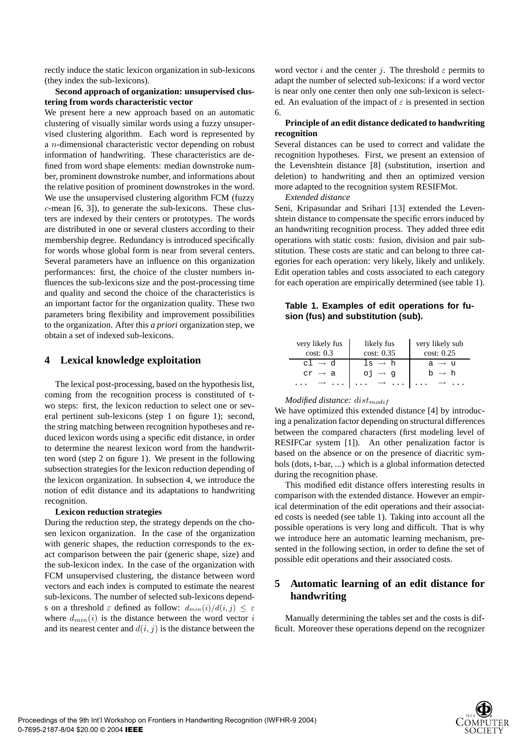rectly induce the static lexicon organization in sub-lexicons (they index the sub-lexicons).

#### **Second approach of organization: unsupervised clustering from words characteristic vector**

We present here a new approach based on an automatic clustering of visually similar words using a fuzzy unsupervised clustering algorithm. Each word is represented by a n-dimensional characteristic vector depending on robust information of handwriting. These characteristics are defined from word shape elements: median downstroke number, prominent downstroke number, and informations about the relative position of prominent downstrokes in the word. We use the unsupervised clustering algorithm FCM (fuzzy c-mean [6, 3]), to generate the sub-lexicons. These clusters are indexed by their centers or prototypes. The words are distributed in one or several clusters according to their membership degree. Redundancy is introduced specifically for words whose global form is near from several centers. Several parameters have an influence on this organization performances: first, the choice of the cluster numbers influences the sub-lexicons size and the post-processing time and quality and second the choice of the characteristics is an important factor for the organization quality. These two parameters bring flexibility and improvement possibilities to the organization. After this *a priori* organization step, we obtain a set of indexed sub-lexicons.

# **4 Lexical knowledge exploitation**

The lexical post-processing, based on the hypothesis list, coming from the recognition process is constituted of two steps: first, the lexicon reduction to select one or several pertinent sub-lexicons (step 1 on figure 1); second, the string matching between recognition hypotheses and reduced lexicon words using a specific edit distance, in order to determine the nearest lexicon word from the handwritten word (step 2 on figure 1). We present in the following subsection strategies for the lexicon reduction depending of the lexicon organization. In subsection 4, we introduce the notion of edit distance and its adaptations to handwriting recognition.

#### **Lexicon reduction strategies**

During the reduction step, the strategy depends on the chosen lexicon organization. In the case of the organization with generic shapes, the reduction corresponds to the exact comparison between the pair (generic shape, size) and the sub-lexicon index. In the case of the organization with FCM unsupervised clustering, the distance between word vectors and each index is computed to estimate the nearest sub-lexicons. The number of selected sub-lexicons depends on a threshold  $\varepsilon$  defined as follow:  $d_{min}(i)/d(i, j) \leq \varepsilon$ where  $d_{min}(i)$  is the distance between the word vector i and its nearest center and  $d(i, j)$  is the distance between the word vector i and the center j. The threshold  $\varepsilon$  permits to adapt the number of selected sub-lexicons: if a word vector is near only one center then only one sub-lexicon is selected. An evaluation of the impact of  $\varepsilon$  is presented in section 6.

#### **Principle of an edit distance dedicated to handwriting recognition**

Several distances can be used to correct and validate the recognition hypotheses. First, we present an extension of the Levenshtein distance [8] (substitution, insertion and deletion) to handwriting and then an optimized version more adapted to the recognition system RESIFMot.

*Extended distance*

Seni, Kripasundar and Srihari [13] extended the Levenshtein distance to compensate the specific errors induced by an handwriting recognition process. They added three edit operations with static costs: fusion, division and pair substitution. These costs are static and can belong to three categories for each operation: very likely, likely and unlikely. Edit operation tables and costs associated to each category for each operation are empirically determined (see table 1).

#### **Table 1. Examples of edit operations for fusion (fus) and substitution (sub).**

| very likely fus<br>cost: 0.3    | likely fus<br>cost: 0.35                       | very likely sub<br>cost: 0.25 |
|---------------------------------|------------------------------------------------|-------------------------------|
| $cl \rightarrow d$              | $\exists s \rightarrow h$                      | $a \rightarrow u$             |
| $cr \rightarrow a$              |                                                | $h \rightarrow h$             |
| $\cdots$ $\rightarrow$ $\cdots$ | $\cdots \rightarrow \cdots \rightarrow \cdots$ |                               |

### *Modified distance: dist<sub>modif</sub>*

We have optimized this extended distance [4] by introducing a penalization factor depending on structural differences between the compared characters (first modeling level of RESIFCar system [1]). An other penalization factor is based on the absence or on the presence of diacritic symbols (dots, t-bar, ...) which is a global information detected during the recognition phase.

This modified edit distance offers interesting results in comparison with the extended distance. However an empirical determination of the edit operations and their associated costs is needed (see table 1). Taking into account all the possible operations is very long and difficult. That is why we introduce here an automatic learning mechanism, presented in the following section, in order to define the set of possible edit operations and their associated costs.

# **5 Automatic learning of an edit distance for handwriting**

Manually determining the tables set and the costs is difficult. Moreover these operations depend on the recognizer

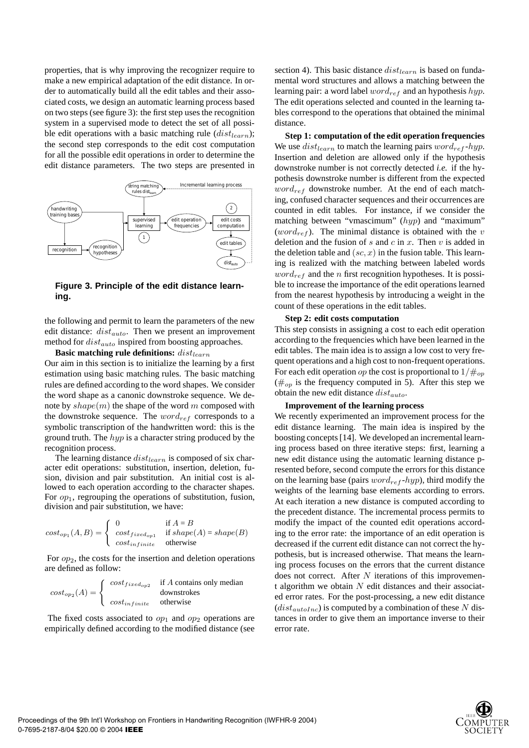properties, that is why improving the recognizer require to make a new empirical adaptation of the edit distance. In order to automatically build all the edit tables and their associated costs, we design an automatic learning process based on two steps (see figure 3): the first step uses the recognition system in a supervised mode to detect the set of all possible edit operations with a basic matching rule  $(dist<sub>learn</sub>)$ ; the second step corresponds to the edit cost computation for all the possible edit operations in order to determine the edit distance parameters. The two steps are presented in



**Figure 3. Principle of the edit distance learning.**

the following and permit to learn the parameters of the new edit distance:  $dist_{auto}$ . Then we present an improvement method for  $dist_{auto}$  inspired from boosting approaches.

**Basic matching rule definitions:**  $dist_{learn}$ Our aim in this section is to initialize the learning by a first estimation using basic matching rules. The basic matching rules are defined according to the word shapes. We consider the word shape as a canonic downstroke sequence. We denote by  $shape(m)$  the shape of the word m composed with the downstroke sequence. The  $word_{ref}$  corresponds to a symbolic transcription of the handwritten word: this is the ground truth. The  $hyp$  is a character string produced by the recognition process.

The learning distance  $dist_{learn}$  is composed of six character edit operations: substitution, insertion, deletion, fusion, division and pair substitution. An initial cost is allowed to each operation according to the character shapes. For  $op_1$ , regrouping the operations of substitution, fusion, division and pair substitution, we have:

$$
cost_{op1}(A, B) = \begin{cases} 0 & \text{if } A = B \\ cost_{fixed_{op1}} & \text{if } shape(A) = shape(B) \\ cost_{infinite} & \text{otherwise} \end{cases}
$$

For  $op_2$ , the costs for the insertion and deletion operations are defined as follow:

$$
cost_{op_2}(A) = \begin{cases} cost_{fixed_{op2}} & \text{if } A \text{ contains only median} \\ cost_{infinite} & \text{otherwise} \end{cases}
$$

The fixed costs associated to  $op_1$  and  $op_2$  operations are empirically defined according to the modified distance (see section 4). This basic distance  $dist_{learn}$  is based on fundamental word structures and allows a matching between the learning pair: a word label  $word_{ref}$  and an hypothesis  $hyp$ . The edit operations selected and counted in the learning tables correspond to the operations that obtained the minimal distance.

**Step 1: computation of the edit operation frequencies** We use  $dist_{learn}$  to match the learning pairs  $word_{ref}$ -hyp. Insertion and deletion are allowed only if the hypothesis downstroke number is not correctly detected *i.e.* if the hypothesis downstroke number is different from the expected  $word_{ref}$  downstroke number. At the end of each matching, confused character sequences and their occurrences are counted in edit tables. For instance, if we consider the matching between "vmascimum" (hyp) and "maximum" (word<sub>ref</sub>). The minimal distance is obtained with the v deletion and the fusion of  $s$  and  $c$  in  $x$ . Then  $v$  is added in the deletion table and  $(sc, x)$  in the fusion table. This learning is realized with the matching between labeled words  $word_{ref}$  and the *n* first recognition hypotheses. It is possible to increase the importance of the edit operations learned from the nearest hypothesis by introducing a weight in the count of these operations in the edit tables.

#### **Step 2: edit costs computation**

This step consists in assigning a cost to each edit operation according to the frequencies which have been learned in the edit tables. The main idea is to assign a low cost to very frequent operations and a high cost to non-frequent operations. For each edit operation op the cost is proportional to  $1/\#_{op}$  $(\#_{op})$  is the frequency computed in 5). After this step we obtain the new edit distance  $dist_{auto}$ .

#### **Improvement of the learning process**

We recently experimented an improvement process for the edit distance learning. The main idea is inspired by the boosting concepts [14]. We developed an incremental learning process based on three iterative steps: first, learning a new edit distance using the automatic learning distance presented before, second compute the errors for this distance on the learning base (pairs  $word_{ref}$ -hyp), third modify the weights of the learning base elements according to errors. At each iteration a new distance is computed according to the precedent distance. The incremental process permits to modify the impact of the counted edit operations according to the error rate: the importance of an edit operation is decreased if the current edit distance can not correct the hypothesis, but is increased otherwise. That means the learning process focuses on the errors that the current distance does not correct. After  $N$  iterations of this improvement algorithm we obtain  $N$  edit distances and their associated error rates. For the post-processing, a new edit distance  $(dist_{autoInc})$  is computed by a combination of these N distances in order to give them an importance inverse to their error rate.

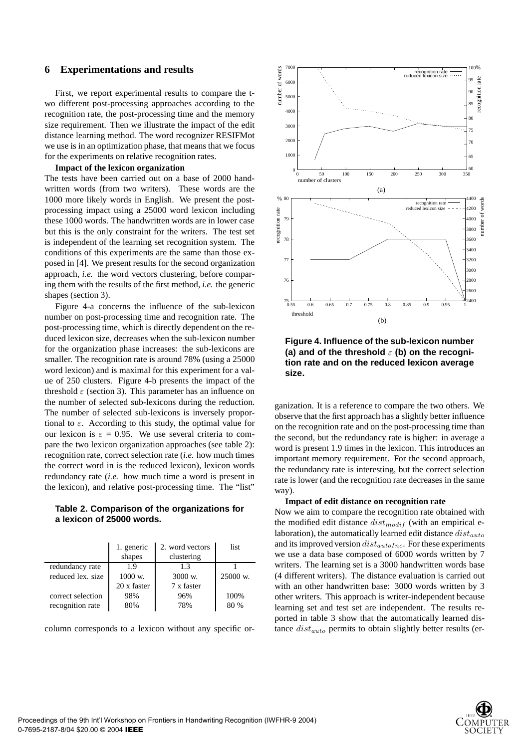### **6 Experimentations and results**

First, we report experimental results to compare the two different post-processing approaches according to the recognition rate, the post-processing time and the memory size requirement. Then we illustrate the impact of the edit distance learning method. The word recognizer RESIFMot we use is in an optimization phase, that means that we focus for the experiments on relative recognition rates.

#### **Impact of the lexicon organization**

The tests have been carried out on a base of 2000 handwritten words (from two writers). These words are the 1000 more likely words in English. We present the postprocessing impact using a 25000 word lexicon including these 1000 words. The handwritten words are in lower case but this is the only constraint for the writers. The test set is independent of the learning set recognition system. The conditions of this experiments are the same than those exposed in [4]. We present results for the second organization approach, *i.e.* the word vectors clustering, before comparing them with the results of the first method, *i.e.* the generic shapes (section 3).

Figure 4-a concerns the influence of the sub-lexicon number on post-processing time and recognition rate. The post-processing time, which is directly dependent on the reduced lexicon size, decreases when the sub-lexicon number for the organization phase increases: the sub-lexicons are smaller. The recognition rate is around 78% (using a 25000 word lexicon) and is maximal for this experiment for a value of 250 clusters. Figure 4-b presents the impact of the threshold  $\varepsilon$  (section 3). This parameter has an influence on the number of selected sub-lexicons during the reduction. The number of selected sub-lexicons is inversely proportional to  $\varepsilon$ . According to this study, the optimal value for our lexicon is  $\varepsilon = 0.95$ . We use several criteria to compare the two lexicon organization approaches (see table 2): recognition rate, correct selection rate (*i.e.* how much times the correct word in is the reduced lexicon), lexicon words redundancy rate (*i.e.* how much time a word is present in the lexicon), and relative post-processing time. The "list"

## **Table 2. Comparison of the organizations for a lexicon of 25000 words.**

|                   | 1. generic         | 2. word vectors    | list                |
|-------------------|--------------------|--------------------|---------------------|
|                   | shapes             | clustering         |                     |
| redundancy rate   | 1.9                | 1.3                |                     |
| reduced lex. size | $1000 \text{ w}$ . | $3000 \text{ w}$ . | $25000 \text{ w}$ . |
|                   | 20 x faster        | 7 x faster         |                     |
| correct selection | 98%                | 96%                | 100%                |
| recognition rate  | 80%                | 78%                | 80 %                |

column corresponds to a lexicon without any specific or-



**Figure 4. Influence of the sub-lexicon number (a) and of the threshold**  $\varepsilon$  **(b) on the recognition rate and on the reduced lexicon average size.**

ganization. It is a reference to compare the two others. We observe that the first approach has a slightly better influence on the recognition rate and on the post-processing time than the second, but the redundancy rate is higher: in average a word is present 1.9 times in the lexicon. This introduces an important memory requirement. For the second approach, the redundancy rate is interesting, but the correct selection rate is lower (and the recognition rate decreases in the same way).

#### **Impact of edit distance on recognition rate**

Now we aim to compare the recognition rate obtained with the modified edit distance  $dist_{modif}$  (with an empirical elaboration), the automatically learned edit distance  $dist_{auto}$ and its improved version  $dist_{autoInc}$ . For these experiments we use a data base composed of 6000 words written by 7 writers. The learning set is a 3000 handwritten words base (4 different writers). The distance evaluation is carried out with an other handwritten base: 3000 words written by 3 other writers. This approach is writer-independent because learning set and test set are independent. The results reported in table 3 show that the automatically learned distance  $dist_{auto}$  permits to obtain slightly better results (er-